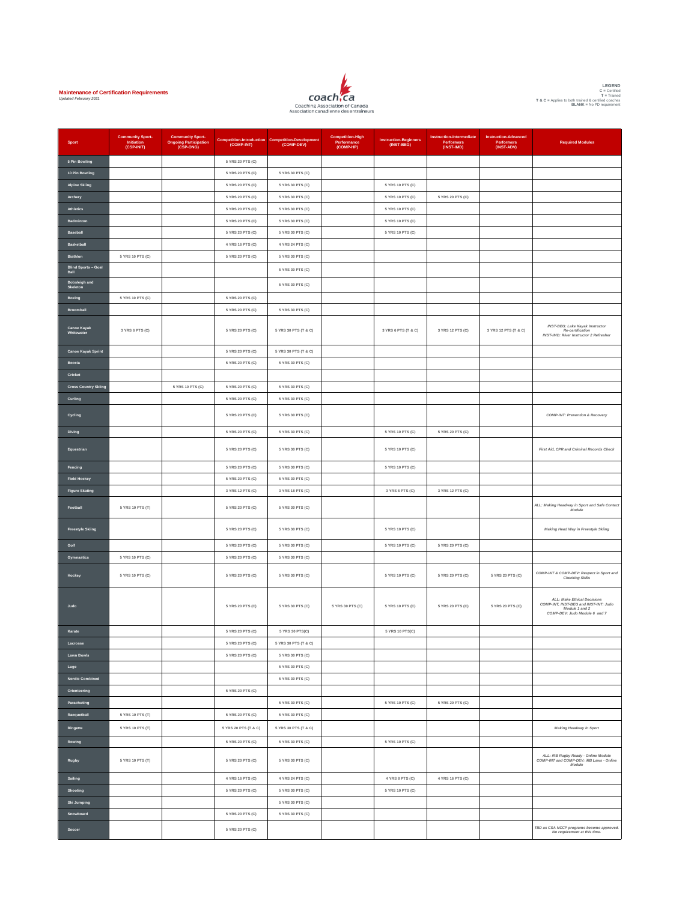



| <b>Sport</b>                     | <b>Community Sport-</b><br>Initiation<br>(CSP-INIT) | <b>Community Sport-</b><br><b>Ongoing Participation</b><br>(CSP-ONG) | <b>Competition-Introduction</b><br>(COMP-INT) | <b>Competition-Development</b><br>(COMP-DEV) | <b>Competition-High</b><br>Performance<br>(COMP-HP) | <b>Instruction-Beginners</b><br>(INST-BEG) | Instruction-Intermediate<br>Performers<br>(INST-IMD) | <b>Instruction-Advanced</b><br>Performers<br>(INST-ADV) | <b>Required Modules</b>                                                                                                 |
|----------------------------------|-----------------------------------------------------|----------------------------------------------------------------------|-----------------------------------------------|----------------------------------------------|-----------------------------------------------------|--------------------------------------------|------------------------------------------------------|---------------------------------------------------------|-------------------------------------------------------------------------------------------------------------------------|
| 5 Pin Bowling                    |                                                     |                                                                      | 5 YRS 20 PTS (C)                              |                                              |                                                     |                                            |                                                      |                                                         |                                                                                                                         |
| 10 Pin Bowling                   |                                                     |                                                                      | 5 YRS 20 PTS (C)                              | 5 YRS 30 PTS (C)                             |                                                     |                                            |                                                      |                                                         |                                                                                                                         |
| <b>Alpine Skiing</b>             |                                                     |                                                                      | 5 YRS 20 PTS (C)                              | 5 YRS 30 PTS (C)                             |                                                     | 5 YRS 10 PTS (C)                           |                                                      |                                                         |                                                                                                                         |
| Archery                          |                                                     |                                                                      | 5 YRS 20 PTS (C)                              | 5 YRS 30 PTS (C)                             |                                                     | 5 YRS 10 PTS (C)                           | 5 YRS 20 PTS (C)                                     |                                                         |                                                                                                                         |
| <b>Athletics</b>                 |                                                     |                                                                      | 5 YRS 20 PTS (C)                              | 5 YRS 30 PTS (C)                             |                                                     | 5 YRS 10 PTS (C)                           |                                                      |                                                         |                                                                                                                         |
| Badminton                        |                                                     |                                                                      | 5 YRS 20 PTS (C)                              | 5 YRS 30 PTS (C)                             |                                                     | 5 YRS 10 PTS (C)                           |                                                      |                                                         |                                                                                                                         |
| Baseball                         |                                                     |                                                                      | 5 YRS 20 PTS (C)                              | 5 YRS 30 PTS (C)                             |                                                     | 5 YRS 10 PTS (C)                           |                                                      |                                                         |                                                                                                                         |
| Basketball                       |                                                     |                                                                      | 4 YRS 16 PTS (C)                              | 4 YRS 24 PTS (C)                             |                                                     |                                            |                                                      |                                                         |                                                                                                                         |
| Biathlon                         | 5 YRS 10 PTS (C)                                    |                                                                      | 5 YRS 20 PTS (C)                              | 5 YRS 30 PTS (C)                             |                                                     |                                            |                                                      |                                                         |                                                                                                                         |
| Blind Sports - Goal<br>Ball      |                                                     |                                                                      |                                               | 5 YRS 30 PTS (C)                             |                                                     |                                            |                                                      |                                                         |                                                                                                                         |
| Bobsleigh and<br>Skeletor        |                                                     |                                                                      |                                               | 5 YRS 30 PTS (C)                             |                                                     |                                            |                                                      |                                                         |                                                                                                                         |
| Boxing                           | 5 YRS 10 PTS (C)                                    |                                                                      | 5 YRS 20 PTS (C)                              |                                              |                                                     |                                            |                                                      |                                                         |                                                                                                                         |
| Broomball                        |                                                     |                                                                      | 5 YRS 20 PTS (C)                              | 5 YRS 30 PTS (C)                             |                                                     |                                            |                                                      |                                                         |                                                                                                                         |
|                                  |                                                     |                                                                      |                                               |                                              |                                                     |                                            |                                                      |                                                         |                                                                                                                         |
| <b>Canoe Kayak</b><br>Whitewater | 3 YRS 6 PTS (C)                                     |                                                                      | 5 YRS 20 PTS (C)                              | 5 YRS 30 PTS (T & C)                         |                                                     | 3 YRS 6 PTS (T & C)                        | 3 YRS 12 PTS (C)                                     | 3 YRS 12 PTS (T & C)                                    | <b>INST-BEG: Lake Kayak Instructor</b><br>Re-certification<br><b>INST-IMD: River Instructor 2 Refresher</b>             |
| <b>Canoe Kayak Sprint</b>        |                                                     |                                                                      | 5 YRS 20 PTS (C)                              | 5 YRS 30 PTS (T & C)                         |                                                     |                                            |                                                      |                                                         |                                                                                                                         |
| Boccia                           |                                                     |                                                                      | 5 YRS 20 PTS (C)                              | 5 YRS 30 PTS (C)                             |                                                     |                                            |                                                      |                                                         |                                                                                                                         |
| Cricket                          |                                                     |                                                                      |                                               |                                              |                                                     |                                            |                                                      |                                                         |                                                                                                                         |
| <b>Cross Country Skiing</b>      |                                                     | 5 YRS 10 PTS (C)                                                     | 5 YRS 20 PTS (C)                              | 5 YRS 30 PTS (C)                             |                                                     |                                            |                                                      |                                                         |                                                                                                                         |
| Curling                          |                                                     |                                                                      | 5 YRS 20 PTS (C)                              | 5 YRS 30 PTS (C)                             |                                                     |                                            |                                                      |                                                         |                                                                                                                         |
| Cycling                          |                                                     |                                                                      | 5 YRS 20 PTS (C)                              | 5 YRS 30 PTS (C)                             |                                                     |                                            |                                                      |                                                         | COMP-INT: Prevention & Recovery                                                                                         |
| Diving                           |                                                     |                                                                      | 5 YRS 20 PTS (C)                              | 5 YRS 30 PTS (C)                             |                                                     | 5 YRS 10 PTS (C)                           | 5 YRS 20 PTS (C)                                     |                                                         |                                                                                                                         |
| Equestrian                       |                                                     |                                                                      | 5 YRS 20 PTS (C)                              | 5 YRS 30 PTS (C)                             |                                                     | 5 YRS 10 PTS (C)                           |                                                      |                                                         | First Aid, CPR and Criminal Records Check                                                                               |
| Fencing                          |                                                     |                                                                      | 5 YRS 20 PTS (C)                              | 5 YRS 30 PTS (C)                             |                                                     | 5 YRS 10 PTS (C)                           |                                                      |                                                         |                                                                                                                         |
| <b>Field Hockey</b>              |                                                     |                                                                      | 5 YRS 20 PTS (C)                              | 5 YRS 30 PTS (C)                             |                                                     |                                            |                                                      |                                                         |                                                                                                                         |
| <b>Figure Skating</b>            |                                                     |                                                                      | 3 YRS 12 PTS (C)                              | 3 YRS 18 PTS (C)                             |                                                     | 3 YRS 6 PTS (C)                            | 3 YRS 12 PTS (C)                                     |                                                         |                                                                                                                         |
| Football                         | 5 YRS 10 PTS (T)                                    |                                                                      | 5 YRS 20 PTS (C)                              | 5 YRS 30 PTS (C)                             |                                                     |                                            |                                                      |                                                         | ALL: Making Headway in Sport and Safe Contact<br>Module                                                                 |
| <b>Freestyle Skiing</b>          |                                                     |                                                                      | 5 YRS 20 PTS (C)                              | 5 YRS 30 PTS (C)                             |                                                     | 5 YRS 10 PTS (C)                           |                                                      |                                                         | Making Head Way in Freestyle Skiing                                                                                     |
| Golf                             |                                                     |                                                                      | 5 YRS 20 PTS (C)                              | 5 YRS 30 PTS (C)                             |                                                     | 5 YRS 10 PTS (C)                           | 5 YRS 20 PTS (C)                                     |                                                         |                                                                                                                         |
| <b>Gymnastics</b>                | 5 YRS 10 PTS (C)                                    |                                                                      | 5 YRS 20 PTS (C)                              | 5 YRS 30 PTS (C)                             |                                                     |                                            |                                                      |                                                         |                                                                                                                         |
| Hockey                           | 5 YRS 10 PTS (C)                                    |                                                                      | 5 YRS 20 PTS (C)                              | 5 YRS 30 PTS (C)                             |                                                     | 5 YRS 10 PTS (C)                           | 5 YRS 20 PTS (C)                                     | 5 YRS 20 PTS (C)                                        | COMP-INT & COMP-DEV: Respect in Sport and<br><b>Checking Skills</b>                                                     |
| Judo                             |                                                     |                                                                      | 5 YRS 20 PTS (C)                              | 5 YRS 30 PTS (C)                             | 5 YRS 30 PTS (C)                                    | 5 YRS 10 PTS (C)                           | 5 YRS 20 PTS (C)                                     | 5 YRS 20 PTS (C)                                        | ALL: Make Ethical Decisions<br>COMP-INT, INST-BEG and INST-INT: Judo<br>Module 1 and 2<br>COMP-DEV: Judo Module 6 and 7 |
| Karate                           |                                                     |                                                                      | 5 YRS 20 PTS (C)                              | 5 YRS 30 PTS(C)                              |                                                     | 5 YRS 10 PTS(C)                            |                                                      |                                                         |                                                                                                                         |
| Lacrosse                         |                                                     |                                                                      | 5 YRS 20 PTS (C)                              | 5 YRS 30 PTS (T & C)                         |                                                     |                                            |                                                      |                                                         |                                                                                                                         |
| <b>Lawn Bowls</b>                |                                                     |                                                                      | 5 YRS 20 PTS (C)                              | 5 YRS 30 PTS (C)                             |                                                     |                                            |                                                      |                                                         |                                                                                                                         |
| Luge                             |                                                     |                                                                      |                                               | 5 YRS 30 PTS (C)                             |                                                     |                                            |                                                      |                                                         |                                                                                                                         |
| <b>Nordic Combined</b>           |                                                     |                                                                      |                                               | 5 YRS 30 PTS (C)                             |                                                     |                                            |                                                      |                                                         |                                                                                                                         |
| Orienteering                     |                                                     |                                                                      | 5 YRS 20 PTS (C)                              |                                              |                                                     |                                            |                                                      |                                                         |                                                                                                                         |
| Parachuting                      |                                                     |                                                                      |                                               | 5 YRS 30 PTS (C)                             |                                                     | 5 YRS 10 PTS (C)                           | 5 YRS 20 PTS (C)                                     |                                                         |                                                                                                                         |
| Racquetball                      | 5 YRS 10 PTS (T)                                    |                                                                      | 5 YRS 20 PTS (C)                              | 5 YRS 30 PTS (C)                             |                                                     |                                            |                                                      |                                                         |                                                                                                                         |
| Ringette                         | 5 YRS 10 PTS (T)                                    |                                                                      | 5 YRS 20 PTS (T & C)                          | 5 YRS 30 PTS (T & C)                         |                                                     |                                            |                                                      |                                                         | Making Headway in Sport                                                                                                 |
| Rowing                           |                                                     |                                                                      | 5 YRS 20 PTS (C)                              | 5 YRS 30 PTS (C)                             |                                                     | 5 YRS 10 PTS (C)                           |                                                      |                                                         |                                                                                                                         |
| Rugby                            | 5 YRS 10 PTS (T)                                    |                                                                      | 5 YRS 20 PTS (C)                              | 5 YRS 30 PTS (C)                             |                                                     |                                            |                                                      |                                                         | ALL: IRB Rugby Ready - Online Module<br>COMP-INT and COMP-DEV: IRB Laws - Online<br>Module                              |
| Sailing                          |                                                     |                                                                      | 4 YRS 16 PTS (C)                              | 4 YRS 24 PTS (C)                             |                                                     | 4 YRS 8 PTS (C)                            | 4 YRS 16 PTS (C)                                     |                                                         |                                                                                                                         |
| Shooting                         |                                                     |                                                                      | 5 YRS 20 PTS (C)                              | 5 YRS 30 PTS (C)                             |                                                     | 5 YRS 10 PTS (C)                           |                                                      |                                                         |                                                                                                                         |
| Ski Jumping                      |                                                     |                                                                      |                                               | 5 YRS 30 PTS (C)                             |                                                     |                                            |                                                      |                                                         |                                                                                                                         |
| Snowboard                        |                                                     |                                                                      | 5 YRS 20 PTS (C)                              | 5 YRS 30 PTS (C)                             |                                                     |                                            |                                                      |                                                         |                                                                                                                         |
|                                  |                                                     |                                                                      |                                               |                                              |                                                     |                                            |                                                      |                                                         | TBD as CSA NCCP programs become approved.                                                                               |